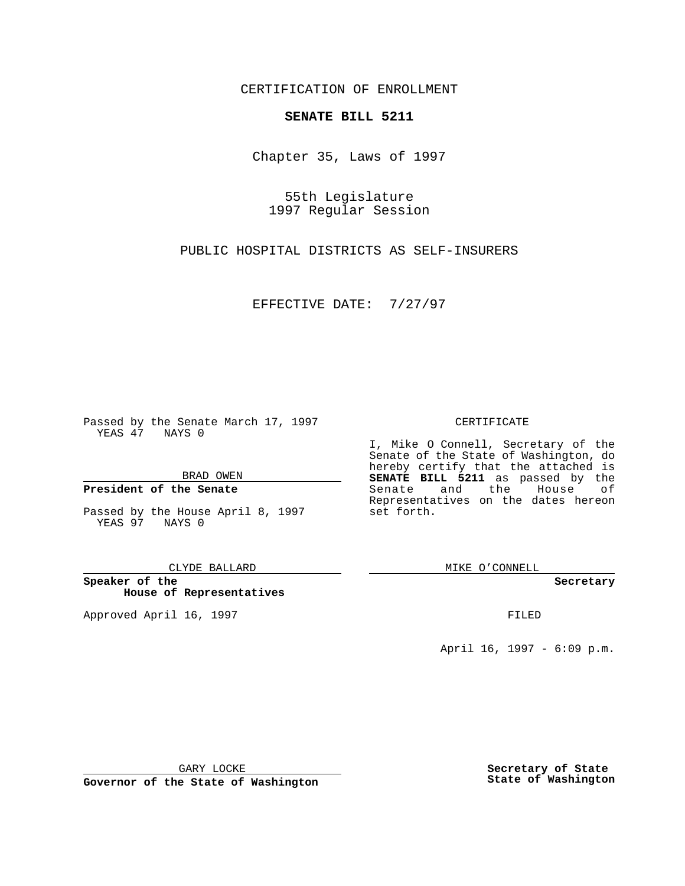CERTIFICATION OF ENROLLMENT

# **SENATE BILL 5211**

Chapter 35, Laws of 1997

55th Legislature 1997 Regular Session

PUBLIC HOSPITAL DISTRICTS AS SELF-INSURERS

EFFECTIVE DATE: 7/27/97

Passed by the Senate March 17, 1997 YEAS 47 NAYS 0

BRAD OWEN

### **President of the Senate**

Passed by the House April 8, 1997 YEAS 97 NAYS 0

CLYDE BALLARD

**Speaker of the House of Representatives**

Approved April 16, 1997 **FILED** 

### CERTIFICATE

I, Mike O Connell, Secretary of the Senate of the State of Washington, do hereby certify that the attached is **SENATE BILL 5211** as passed by the Senate and the House of Representatives on the dates hereon set forth.

MIKE O'CONNELL

#### **Secretary**

April 16, 1997 - 6:09 p.m.

GARY LOCKE

**Governor of the State of Washington**

**Secretary of State State of Washington**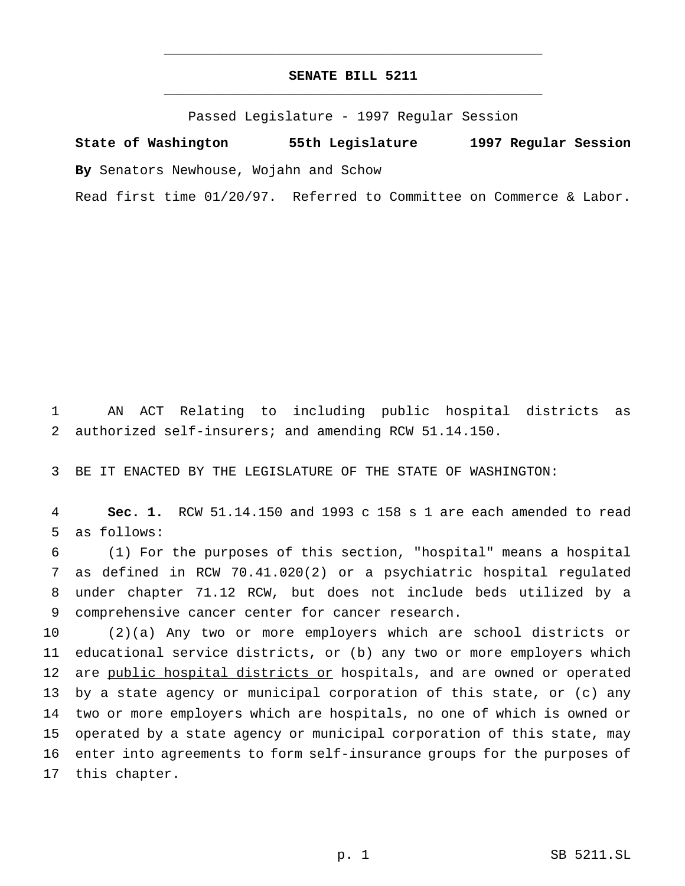# **SENATE BILL 5211** \_\_\_\_\_\_\_\_\_\_\_\_\_\_\_\_\_\_\_\_\_\_\_\_\_\_\_\_\_\_\_\_\_\_\_\_\_\_\_\_\_\_\_\_\_\_\_

\_\_\_\_\_\_\_\_\_\_\_\_\_\_\_\_\_\_\_\_\_\_\_\_\_\_\_\_\_\_\_\_\_\_\_\_\_\_\_\_\_\_\_\_\_\_\_

Passed Legislature - 1997 Regular Session

**State of Washington 55th Legislature 1997 Regular Session By** Senators Newhouse, Wojahn and Schow

Read first time 01/20/97. Referred to Committee on Commerce & Labor.

 AN ACT Relating to including public hospital districts as authorized self-insurers; and amending RCW 51.14.150.

BE IT ENACTED BY THE LEGISLATURE OF THE STATE OF WASHINGTON:

 **Sec. 1.** RCW 51.14.150 and 1993 c 158 s 1 are each amended to read as follows:

 (1) For the purposes of this section, "hospital" means a hospital as defined in RCW 70.41.020(2) or a psychiatric hospital regulated under chapter 71.12 RCW, but does not include beds utilized by a comprehensive cancer center for cancer research.

 (2)(a) Any two or more employers which are school districts or educational service districts, or (b) any two or more employers which 12 are public hospital districts or hospitals, and are owned or operated by a state agency or municipal corporation of this state, or (c) any two or more employers which are hospitals, no one of which is owned or operated by a state agency or municipal corporation of this state, may enter into agreements to form self-insurance groups for the purposes of this chapter.